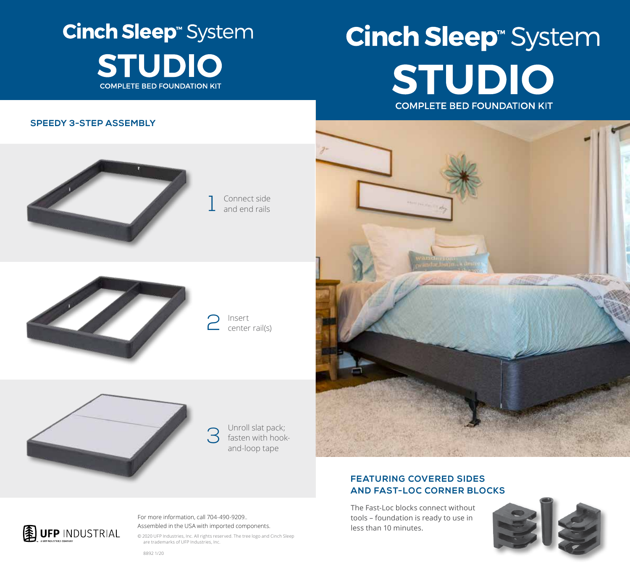## **Cinch Sleep**<sup>®</sup> System **STUDIO COMPLETE BED FOUNDATION KIT**

# **Cinch Sleep<sup>®</sup> System** STUDIO **COMPLETE BED FOUNDATION KIT**

#### **SPEEDY 3-STEP ASSEMBLY**



1 Connect side and end rails



2 Insert center rail(s)



**3** Unroll slat pack;<br>fasten with hook<br>and loop tape fasten with hookand-loop tape



### **FEATURING COVERED SIDES AND FAST-LOC CORNER BLOCKS**

The Fast-Loc blocks connect without tools – foundation is ready to use in less than 10 minutes.





For more information, call 704-490-9209.. Assembled in the USA with imported components.

© 2020 UFP Industries, Inc. All rights reserved. The tree logo and Cinch Sleep are trademarks of UFP Industries, Inc.

8892 1/20